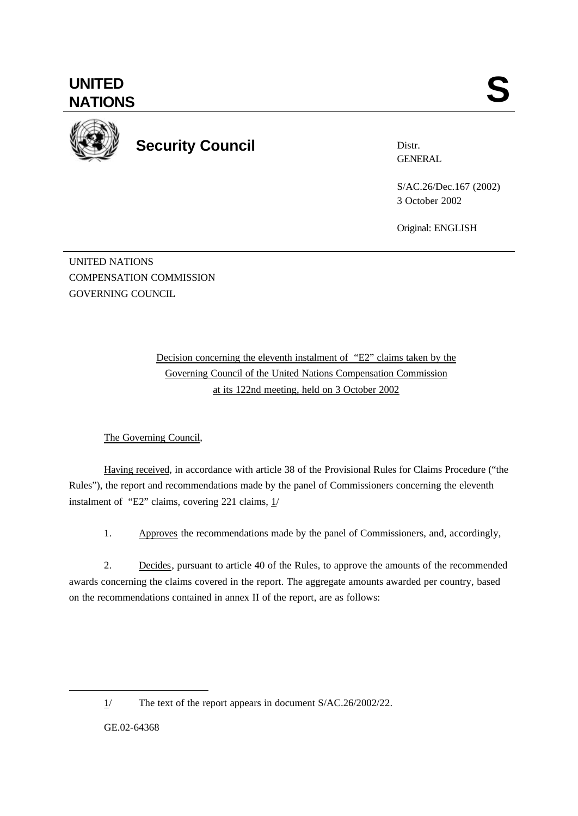

**Security Council**

Distr. **GENERAL** 

S/AC.26/Dec.167 (2002) 3 October 2002

Original: ENGLISH

UNITED NATIONS COMPENSATION COMMISSION GOVERNING COUNCIL

> Decision concerning the eleventh instalment of "E2" claims taken by the Governing Council of the United Nations Compensation Commission at its 122nd meeting, held on 3 October 2002

## The Governing Council,

Having received, in accordance with article 38 of the Provisional Rules for Claims Procedure ("the Rules"), the report and recommendations made by the panel of Commissioners concerning the eleventh instalment of "E2" claims, covering 221 claims,  $1/$ 

1. Approves the recommendations made by the panel of Commissioners, and, accordingly,

2. Decides, pursuant to article 40 of the Rules, to approve the amounts of the recommended awards concerning the claims covered in the report. The aggregate amounts awarded per country, based on the recommendations contained in annex II of the report, are as follows:

GE.02-64368

l

<sup>1/</sup> The text of the report appears in document S/AC.26/2002/22.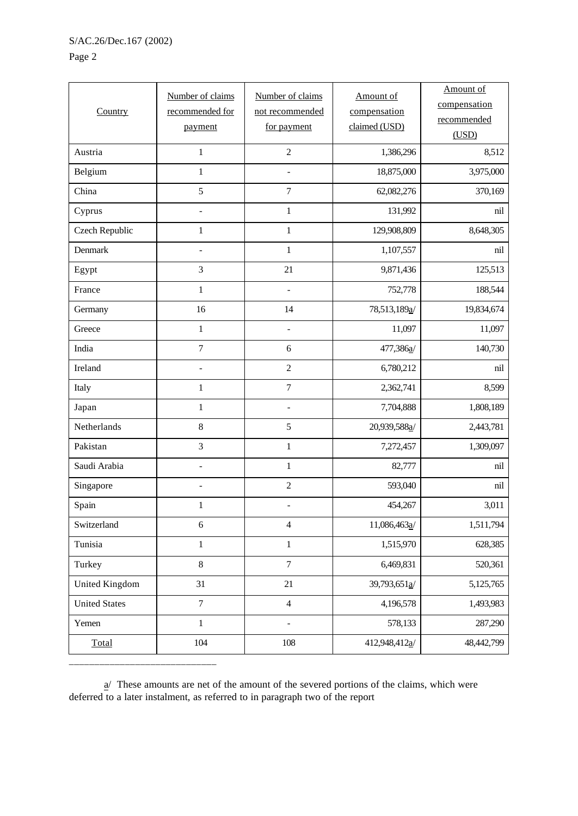## Page 2

| Country               | Number of claims<br>recommended for<br>payment | Number of claims<br>not recommended<br>for payment | Amount of<br>compensation<br>claimed (USD) | Amount of<br>compensation<br>recommended<br>(USD) |
|-----------------------|------------------------------------------------|----------------------------------------------------|--------------------------------------------|---------------------------------------------------|
| Austria               | $\mathbf 1$                                    | $\overline{c}$                                     | 1,386,296                                  | 8,512                                             |
| Belgium               | $\mathbf 1$                                    | $\overline{\phantom{m}}$                           | 18,875,000                                 | 3,975,000                                         |
| China                 | 5                                              | $\overline{7}$                                     | 62,082,276                                 | 370,169                                           |
| Cyprus                | $\overline{a}$                                 | $\mathbf{1}$                                       | 131,992                                    | nil                                               |
| <b>Czech Republic</b> | $\mathbf{1}$                                   | $\mathbf{1}$                                       | 129,908,809                                | 8,648,305                                         |
| Denmark               | $\overline{a}$                                 | $\mathbf{1}$                                       | 1,107,557                                  | nil                                               |
| Egypt                 | 3                                              | 21                                                 | 9,871,436                                  | 125,513                                           |
| France                | $\mathbf 1$                                    | $\overline{a}$                                     | 752,778                                    | 188,544                                           |
| Germany               | 16                                             | 14                                                 | 78,513,189a/                               | 19,834,674                                        |
| Greece                | $\mathbf 1$                                    | $\overline{\phantom{a}}$                           | 11,097                                     | 11,097                                            |
| India                 | $\boldsymbol{7}$                               | 6                                                  | 477,386a/                                  | 140,730                                           |
| Ireland               | $\overline{a}$                                 | $\overline{c}$                                     | 6,780,212                                  | nil                                               |
| Italy                 | $\mathbf{1}$                                   | $\boldsymbol{7}$                                   | 2,362,741                                  | 8,599                                             |
| Japan                 | $\mathbf 1$                                    | $\overline{\phantom{a}}$                           | 7,704,888                                  | 1,808,189                                         |
| Netherlands           | $\,8\,$                                        | $\mathfrak s$                                      | 20,939,588a/                               | 2,443,781                                         |
| Pakistan              | 3                                              | $\mathbf{1}$                                       | 7,272,457                                  | 1,309,097                                         |
| Saudi Arabia          | $\qquad \qquad -$                              | $\mathbf{1}$                                       | 82,777                                     | nil                                               |
| Singapore             | $\overline{a}$                                 | $\sqrt{2}$                                         | 593,040                                    | nil                                               |
| Spain                 | $\mathbf{1}$                                   |                                                    | 454,267                                    | 3,011                                             |
| Switzerland           | $\epsilon$                                     | $\overline{4}$                                     | 11,086,463a/                               | 1,511,794                                         |
| Tunisia               | $\,1$                                          | $\mathbf 1$                                        | 1,515,970                                  | 628,385                                           |
| Turkey                | $\,8\,$                                        | $\boldsymbol{7}$                                   | 6,469,831                                  | 520,361                                           |
| <b>United Kingdom</b> | 31                                             | 21                                                 | 39,793,651a/                               | 5,125,765                                         |
| <b>United States</b>  | $\boldsymbol{7}$                               | $\overline{4}$                                     | 4,196,578                                  | 1,493,983                                         |
| Yemen                 | $\,1$                                          | $\overline{\phantom{0}}$                           | 578,133                                    | 287,290                                           |
| Total                 | 104                                            | 108                                                | 412,948,412a/                              | 48,442,799                                        |

 $\mathbf{a}$  These amounts are net of the amount of the severed portions of the claims, which were deferred to a later instalment, as referred to in paragraph two of the report